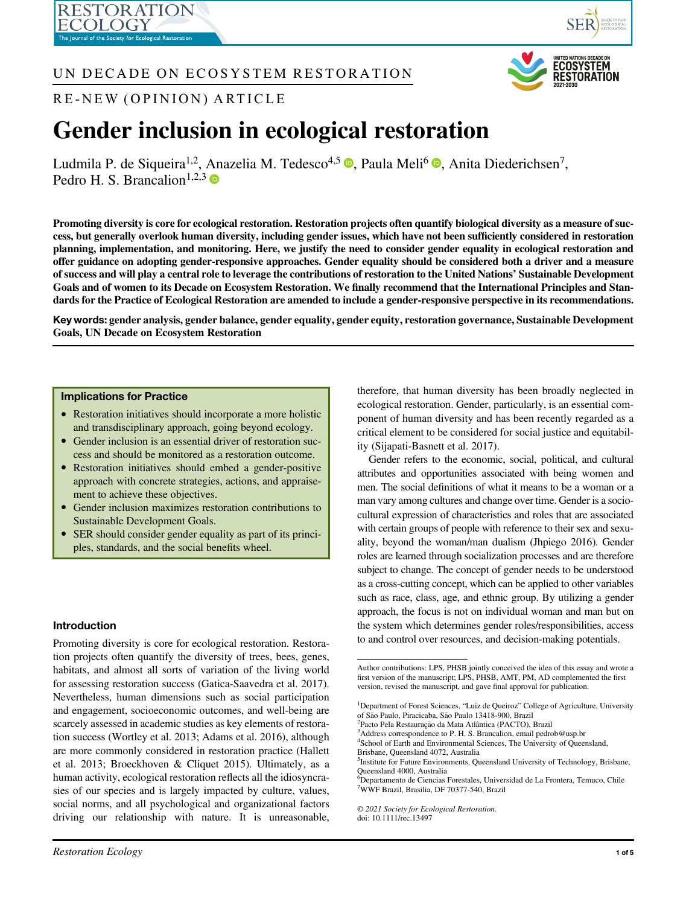ESTORATION



## UN DECADE ON ECOSYSTEM RESTORATION



RE-NEW (OPINION) ARTICLE

# Gender inclusion in ecological restoration

Ludmila P. de Siqueira<sup>1[,](https://orcid.org/0000-0003-3422-8153)2</sup>, Anazelia M. Tedesco<sup>4,5</sup>  $\bullet$ , Paula Meli<sup>6</sup>  $\bullet$ , Anita Diederichsen<sup>7</sup>, Pedro H. S. Brancalion<sup>1,2,3</sup>

Promoting diversity is core for ecological restoration. Restoration projects often quantify biological diversity as a measure of success, but generally overlook human diversity, including gender issues, which have not been sufficiently considered in restoration planning, implementation, and monitoring. Here, we justify the need to consider gender equality in ecological restoration and offer guidance on adopting gender-responsive approaches. Gender equality should be considered both a driver and a measure of success and will play a central role to leverage the contributions of restoration to the United Nations' Sustainable Development Goals and of women to its Decade on Ecosystem Restoration. We finally recommend that the International Principles and Standards for the Practice of Ecological Restoration are amended to include a gender-responsive perspective in its recommendations.

Key words: gender analysis, gender balance, gender equality, gender equity, restoration governance, Sustainable Development Goals, UN Decade on Ecosystem Restoration

## Implications for Practice

- Restoration initiatives should incorporate a more holistic and transdisciplinary approach, going beyond ecology.
- Gender inclusion is an essential driver of restoration success and should be monitored as a restoration outcome.
- Restoration initiatives should embed a gender-positive approach with concrete strategies, actions, and appraisement to achieve these objectives.
- Gender inclusion maximizes restoration contributions to Sustainable Development Goals.
- SER should consider gender equality as part of its principles, standards, and the social benefits wheel.

## Introduction

Promoting diversity is core for ecological restoration. Restoration projects often quantify the diversity of trees, bees, genes, habitats, and almost all sorts of variation of the living world for assessing restoration success (Gatica-Saavedra et al. 2017). Nevertheless, human dimensions such as social participation and engagement, socioeconomic outcomes, and well-being are scarcely assessed in academic studies as key elements of restoration success (Wortley et al. 2013; Adams et al. 2016), although are more commonly considered in restoration practice (Hallett et al. 2013; Broeckhoven & Cliquet 2015). Ultimately, as a human activity, ecological restoration reflects all the idiosyncrasies of our species and is largely impacted by culture, values, social norms, and all psychological and organizational factors driving our relationship with nature. It is unreasonable, therefore, that human diversity has been broadly neglected in ecological restoration. Gender, particularly, is an essential component of human diversity and has been recently regarded as a critical element to be considered for social justice and equitability (Sijapati-Basnett et al. 2017).

Gender refers to the economic, social, political, and cultural attributes and opportunities associated with being women and men. The social definitions of what it means to be a woman or a man vary among cultures and change over time. Gender is a sociocultural expression of characteristics and roles that are associated with certain groups of people with reference to their sex and sexuality, beyond the woman/man dualism (Jhpiego 2016). Gender roles are learned through socialization processes and are therefore subject to change. The concept of gender needs to be understood as a cross-cutting concept, which can be applied to other variables such as race, class, age, and ethnic group. By utilizing a gender approach, the focus is not on individual woman and man but on the system which determines gender roles/responsibilities, access to and control over resources, and decision-making potentials.

<sup>2</sup>Pacto Pela Restauração da Mata Atlântica (PACTO), Brazil

 $3$ Address correspondence to P. H. S. Brancalion, email [pedrob@usp.br](mailto:pedrob@usp.br) 4 School of Earth and Environmental Sciences, The University of Queensland,

Brisbane, Queensland 4072, Australia 5 Institute for Future Environments, Queensland University of Technology, Brisbane,

Queensland 4000, Australia

6 Departamento de Ciencias Forestales, Universidad de La Frontera, Temuco, Chile 7 WWF Brazil, Brasilia, DF 70377-540, Brazil

© 2021 Society for Ecological Restoration.

doi: 10.1111/rec.13497

Author contributions: LPS, PHSB jointly conceived the idea of this essay and wrote a first version of the manuscript; LPS, PHSB, AMT, PM, AD complemented the first version, revised the manuscript, and gave final approval for publication.

<sup>&</sup>lt;sup>1</sup>Department of Forest Sciences, "Luiz de Queiroz" College of Agriculture, University of São Paulo, Piracicaba, São Paulo 13418-900, Brazil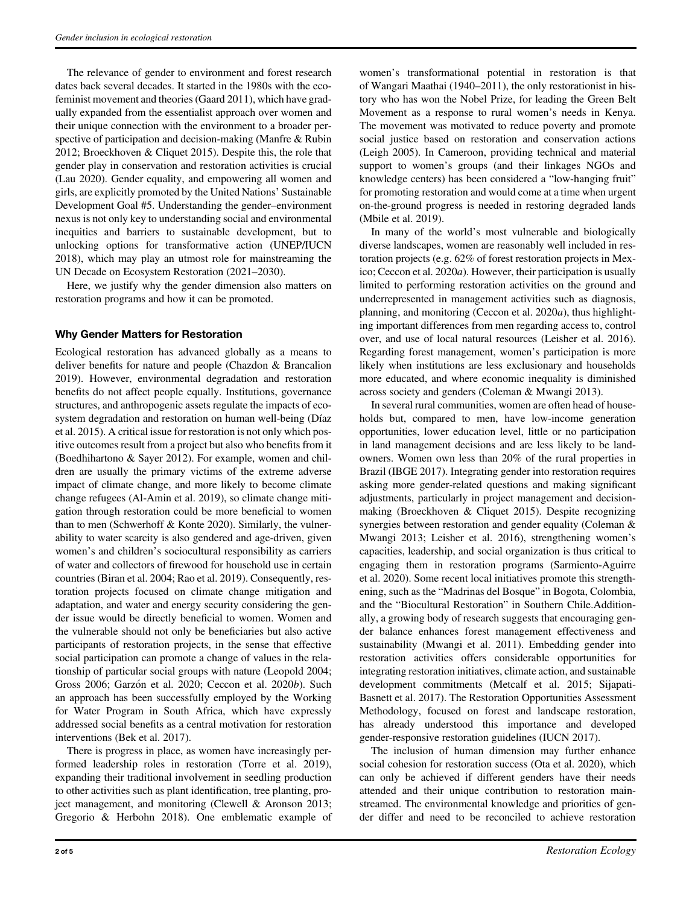The relevance of gender to environment and forest research dates back several decades. It started in the 1980s with the ecofeminist movement and theories (Gaard 2011), which have gradually expanded from the essentialist approach over women and their unique connection with the environment to a broader perspective of participation and decision-making (Manfre & Rubin 2012; Broeckhoven & Cliquet 2015). Despite this, the role that gender play in conservation and restoration activities is crucial (Lau 2020). Gender equality, and empowering all women and girls, are explicitly promoted by the United Nations' Sustainable Development Goal #5. Understanding the gender–environment nexus is not only key to understanding social and environmental inequities and barriers to sustainable development, but to unlocking options for transformative action (UNEP/IUCN 2018), which may play an utmost role for mainstreaming the UN Decade on Ecosystem Restoration (2021–2030).

Here, we justify why the gender dimension also matters on restoration programs and how it can be promoted.

## Why Gender Matters for Restoration

Ecological restoration has advanced globally as a means to deliver benefits for nature and people (Chazdon & Brancalion 2019). However, environmental degradation and restoration benefits do not affect people equally. Institutions, governance structures, and anthropogenic assets regulate the impacts of ecosystem degradation and restoration on human well-being (Díaz et al. 2015). A critical issue for restoration is not only which positive outcomes result from a project but also who benefits from it (Boedhihartono & Sayer 2012). For example, women and children are usually the primary victims of the extreme adverse impact of climate change, and more likely to become climate change refugees (Al-Amin et al. 2019), so climate change mitigation through restoration could be more beneficial to women than to men (Schwerhoff & Konte 2020). Similarly, the vulnerability to water scarcity is also gendered and age-driven, given women's and children's sociocultural responsibility as carriers of water and collectors of firewood for household use in certain countries (Biran et al. 2004; Rao et al. 2019). Consequently, restoration projects focused on climate change mitigation and adaptation, and water and energy security considering the gender issue would be directly beneficial to women. Women and the vulnerable should not only be beneficiaries but also active participants of restoration projects, in the sense that effective social participation can promote a change of values in the relationship of particular social groups with nature (Leopold 2004; Gross 2006; Garzón et al. 2020; Ceccon et al. 2020b). Such an approach has been successfully employed by the Working for Water Program in South Africa, which have expressly addressed social benefits as a central motivation for restoration interventions (Bek et al. 2017).

There is progress in place, as women have increasingly performed leadership roles in restoration (Torre et al. 2019), expanding their traditional involvement in seedling production to other activities such as plant identification, tree planting, project management, and monitoring (Clewell & Aronson 2013; Gregorio & Herbohn 2018). One emblematic example of

women's transformational potential in restoration is that of Wangari Maathai (1940–2011), the only restorationist in history who has won the Nobel Prize, for leading the Green Belt Movement as a response to rural women's needs in Kenya. The movement was motivated to reduce poverty and promote social justice based on restoration and conservation actions (Leigh 2005). In Cameroon, providing technical and material support to women's groups (and their linkages NGOs and knowledge centers) has been considered a "low-hanging fruit" for promoting restoration and would come at a time when urgent on-the-ground progress is needed in restoring degraded lands (Mbile et al. 2019).

In many of the world's most vulnerable and biologically diverse landscapes, women are reasonably well included in restoration projects (e.g. 62% of forest restoration projects in Mexico; Ceccon et al. 2020a). However, their participation is usually limited to performing restoration activities on the ground and underrepresented in management activities such as diagnosis, planning, and monitoring (Ceccon et al. 2020a), thus highlighting important differences from men regarding access to, control over, and use of local natural resources (Leisher et al. 2016). Regarding forest management, women's participation is more likely when institutions are less exclusionary and households more educated, and where economic inequality is diminished across society and genders (Coleman & Mwangi 2013).

In several rural communities, women are often head of households but, compared to men, have low-income generation opportunities, lower education level, little or no participation in land management decisions and are less likely to be landowners. Women own less than 20% of the rural properties in Brazil (IBGE 2017). Integrating gender into restoration requires asking more gender-related questions and making significant adjustments, particularly in project management and decisionmaking (Broeckhoven & Cliquet 2015). Despite recognizing synergies between restoration and gender equality (Coleman & Mwangi 2013; Leisher et al. 2016), strengthening women's capacities, leadership, and social organization is thus critical to engaging them in restoration programs (Sarmiento-Aguirre et al. 2020). Some recent local initiatives promote this strengthening, such as the "Madrinas del Bosque" in Bogota, Colombia, and the "Biocultural Restoration" in Southern Chile.Additionally, a growing body of research suggests that encouraging gender balance enhances forest management effectiveness and sustainability (Mwangi et al. 2011). Embedding gender into restoration activities offers considerable opportunities for integrating restoration initiatives, climate action, and sustainable development commitments (Metcalf et al. 2015; Sijapati-Basnett et al. 2017). The Restoration Opportunities Assessment Methodology, focused on forest and landscape restoration, has already understood this importance and developed gender-responsive restoration guidelines (IUCN 2017).

The inclusion of human dimension may further enhance social cohesion for restoration success (Ota et al. 2020), which can only be achieved if different genders have their needs attended and their unique contribution to restoration mainstreamed. The environmental knowledge and priorities of gender differ and need to be reconciled to achieve restoration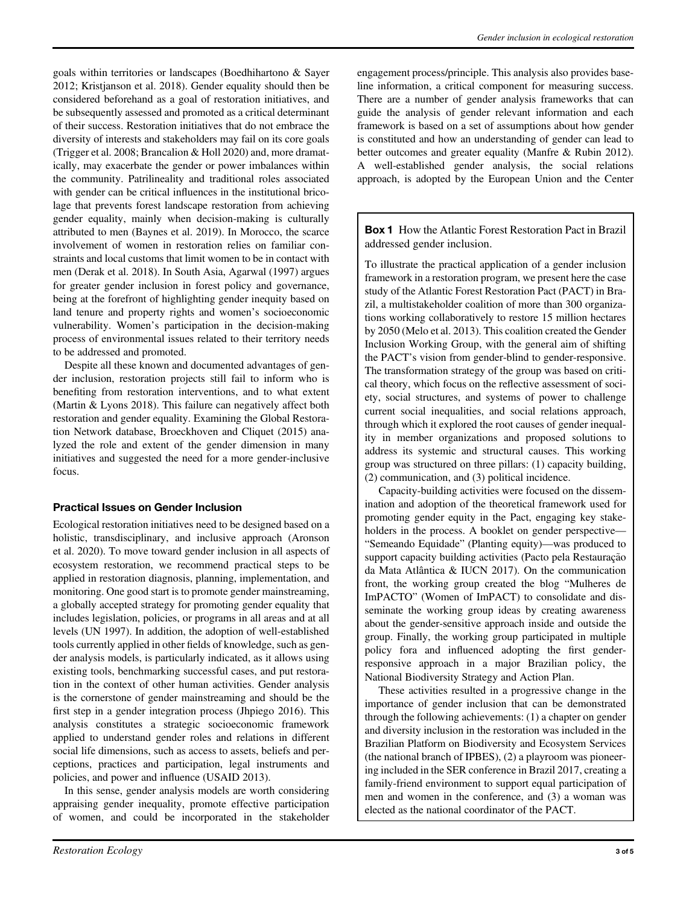goals within territories or landscapes (Boedhihartono & Sayer 2012; Kristjanson et al. 2018). Gender equality should then be considered beforehand as a goal of restoration initiatives, and be subsequently assessed and promoted as a critical determinant of their success. Restoration initiatives that do not embrace the diversity of interests and stakeholders may fail on its core goals (Trigger et al. 2008; Brancalion & Holl 2020) and, more dramatically, may exacerbate the gender or power imbalances within the community. Patrilineality and traditional roles associated with gender can be critical influences in the institutional bricolage that prevents forest landscape restoration from achieving gender equality, mainly when decision-making is culturally attributed to men (Baynes et al. 2019). In Morocco, the scarce involvement of women in restoration relies on familiar constraints and local customs that limit women to be in contact with men (Derak et al. 2018). In South Asia, Agarwal (1997) argues for greater gender inclusion in forest policy and governance, being at the forefront of highlighting gender inequity based on land tenure and property rights and women's socioeconomic vulnerability. Women's participation in the decision-making process of environmental issues related to their territory needs to be addressed and promoted.

Despite all these known and documented advantages of gender inclusion, restoration projects still fail to inform who is benefiting from restoration interventions, and to what extent (Martin & Lyons 2018). This failure can negatively affect both restoration and gender equality. Examining the Global Restoration Network database, Broeckhoven and Cliquet (2015) analyzed the role and extent of the gender dimension in many initiatives and suggested the need for a more gender-inclusive focus.

## Practical Issues on Gender Inclusion

Ecological restoration initiatives need to be designed based on a holistic, transdisciplinary, and inclusive approach (Aronson et al. 2020). To move toward gender inclusion in all aspects of ecosystem restoration, we recommend practical steps to be applied in restoration diagnosis, planning, implementation, and monitoring. One good start is to promote gender mainstreaming, a globally accepted strategy for promoting gender equality that includes legislation, policies, or programs in all areas and at all levels (UN 1997). In addition, the adoption of well-established tools currently applied in other fields of knowledge, such as gender analysis models, is particularly indicated, as it allows using existing tools, benchmarking successful cases, and put restoration in the context of other human activities. Gender analysis is the cornerstone of gender mainstreaming and should be the first step in a gender integration process (Jhpiego 2016). This analysis constitutes a strategic socioeconomic framework applied to understand gender roles and relations in different social life dimensions, such as access to assets, beliefs and perceptions, practices and participation, legal instruments and policies, and power and influence (USAID 2013).

In this sense, gender analysis models are worth considering appraising gender inequality, promote effective participation of women, and could be incorporated in the stakeholder engagement process/principle. This analysis also provides baseline information, a critical component for measuring success. There are a number of gender analysis frameworks that can guide the analysis of gender relevant information and each framework is based on a set of assumptions about how gender is constituted and how an understanding of gender can lead to better outcomes and greater equality (Manfre & Rubin 2012). A well-established gender analysis, the social relations approach, is adopted by the European Union and the Center

Box 1 How the Atlantic Forest Restoration Pact in Brazil addressed gender inclusion.

To illustrate the practical application of a gender inclusion framework in a restoration program, we present here the case study of the Atlantic Forest Restoration Pact (PACT) in Brazil, a multistakeholder coalition of more than 300 organizations working collaboratively to restore 15 million hectares by 2050 (Melo et al. 2013). This coalition created the Gender Inclusion Working Group, with the general aim of shifting the PACT's vision from gender-blind to gender-responsive. The transformation strategy of the group was based on critical theory, which focus on the reflective assessment of society, social structures, and systems of power to challenge current social inequalities, and social relations approach, through which it explored the root causes of gender inequality in member organizations and proposed solutions to address its systemic and structural causes. This working group was structured on three pillars: (1) capacity building, (2) communication, and (3) political incidence.

Capacity-building activities were focused on the dissemination and adoption of the theoretical framework used for promoting gender equity in the Pact, engaging key stakeholders in the process. A booklet on gender perspective— "Semeando Equidade" (Planting equity)—was produced to support capacity building activities (Pacto pela Restauração da Mata Atlântica & IUCN 2017). On the communication front, the working group created the blog "Mulheres de ImPACTO" (Women of ImPACT) to consolidate and disseminate the working group ideas by creating awareness about the gender-sensitive approach inside and outside the group. Finally, the working group participated in multiple policy fora and influenced adopting the first genderresponsive approach in a major Brazilian policy, the National Biodiversity Strategy and Action Plan.

These activities resulted in a progressive change in the importance of gender inclusion that can be demonstrated through the following achievements: (1) a chapter on gender and diversity inclusion in the restoration was included in the Brazilian Platform on Biodiversity and Ecosystem Services (the national branch of IPBES), (2) a playroom was pioneering included in the SER conference in Brazil 2017, creating a family-friend environment to support equal participation of men and women in the conference, and (3) a woman was elected as the national coordinator of the PACT.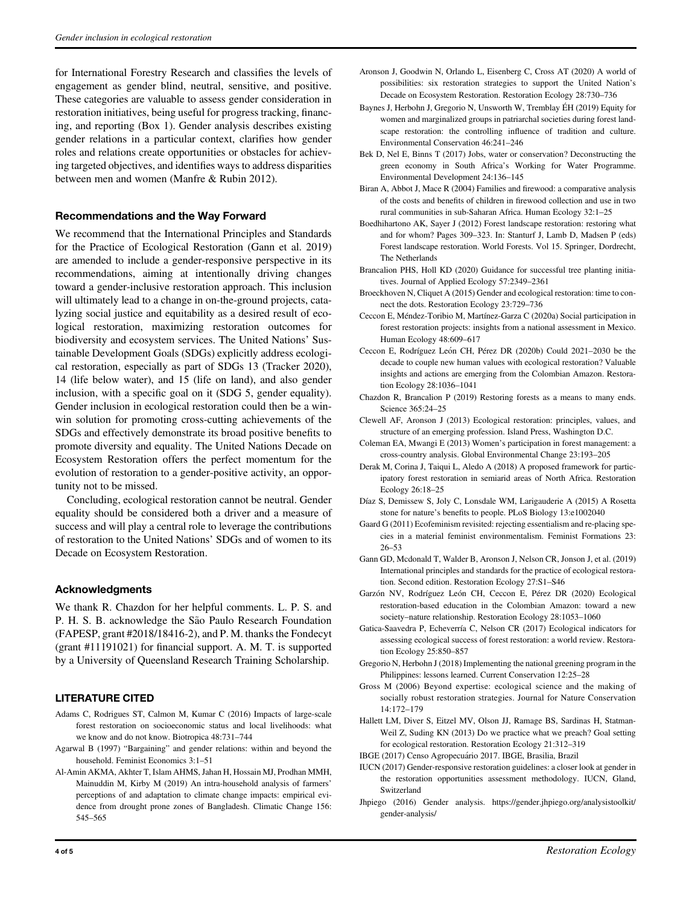for International Forestry Research and classifies the levels of engagement as gender blind, neutral, sensitive, and positive. These categories are valuable to assess gender consideration in restoration initiatives, being useful for progress tracking, financing, and reporting (Box 1). Gender analysis describes existing gender relations in a particular context, clarifies how gender roles and relations create opportunities or obstacles for achieving targeted objectives, and identifies ways to address disparities between men and women (Manfre & Rubin 2012).

#### Recommendations and the Way Forward

We recommend that the International Principles and Standards for the Practice of Ecological Restoration (Gann et al. 2019) are amended to include a gender-responsive perspective in its recommendations, aiming at intentionally driving changes toward a gender-inclusive restoration approach. This inclusion will ultimately lead to a change in on-the-ground projects, catalyzing social justice and equitability as a desired result of ecological restoration, maximizing restoration outcomes for biodiversity and ecosystem services. The United Nations' Sustainable Development Goals (SDGs) explicitly address ecological restoration, especially as part of SDGs 13 (Tracker 2020), 14 (life below water), and 15 (life on land), and also gender inclusion, with a specific goal on it (SDG 5, gender equality). Gender inclusion in ecological restoration could then be a winwin solution for promoting cross-cutting achievements of the SDGs and effectively demonstrate its broad positive benefits to promote diversity and equality. The United Nations Decade on Ecosystem Restoration offers the perfect momentum for the evolution of restoration to a gender-positive activity, an opportunity not to be missed.

Concluding, ecological restoration cannot be neutral. Gender equality should be considered both a driver and a measure of success and will play a central role to leverage the contributions of restoration to the United Nations' SDGs and of women to its Decade on Ecosystem Restoration.

#### Acknowledgments

We thank R. Chazdon for her helpful comments. L. P. S. and P. H. S. B. acknowledge the São Paulo Research Foundation (FAPESP, grant #2018/18416-2), and P. M. thanks the Fondecyt (grant #11191021) for financial support. A. M. T. is supported by a University of Queensland Research Training Scholarship.

## LITERATURE CITED

- Adams C, Rodrigues ST, Calmon M, Kumar C (2016) Impacts of large-scale forest restoration on socioeconomic status and local livelihoods: what we know and do not know. Biotropica 48:731–744
- Agarwal B (1997) "Bargaining" and gender relations: within and beyond the household. Feminist Economics 3:1–51
- Al-Amin AKMA, Akhter T, Islam AHMS, Jahan H, Hossain MJ, Prodhan MMH, Mainuddin M, Kirby M (2019) An intra-household analysis of farmers' perceptions of and adaptation to climate change impacts: empirical evidence from drought prone zones of Bangladesh. Climatic Change 156: 545–565
- Aronson J, Goodwin N, Orlando L, Eisenberg C, Cross AT (2020) A world of possibilities: six restoration strategies to support the United Nation's Decade on Ecosystem Restoration. Restoration Ecology 28:730–736
- Baynes J, Herbohn J, Gregorio N, Unsworth W, Tremblay EH (2019) Equity for women and marginalized groups in patriarchal societies during forest landscape restoration: the controlling influence of tradition and culture. Environmental Conservation 46:241–246
- Bek D, Nel E, Binns T (2017) Jobs, water or conservation? Deconstructing the green economy in South Africa's Working for Water Programme. Environmental Development 24:136–145
- Biran A, Abbot J, Mace R (2004) Families and firewood: a comparative analysis of the costs and benefits of children in firewood collection and use in two rural communities in sub-Saharan Africa. Human Ecology 32:1–25
- Boedhihartono AK, Sayer J (2012) Forest landscape restoration: restoring what and for whom? Pages 309–323. In: Stanturf J, Lamb D, Madsen P (eds) Forest landscape restoration. World Forests. Vol 15. Springer, Dordrecht, The Netherlands
- Brancalion PHS, Holl KD (2020) Guidance for successful tree planting initiatives. Journal of Applied Ecology 57:2349–2361
- Broeckhoven N, Cliquet A (2015) Gender and ecological restoration: time to connect the dots. Restoration Ecology 23:729–736
- Ceccon E, Méndez-Toribio M, Martínez-Garza C (2020a) Social participation in forest restoration projects: insights from a national assessment in Mexico. Human Ecology 48:609–617
- Ceccon E, Rodríguez León CH, Pérez DR (2020b) Could 2021-2030 be the decade to couple new human values with ecological restoration? Valuable insights and actions are emerging from the Colombian Amazon. Restoration Ecology 28:1036–1041
- Chazdon R, Brancalion P (2019) Restoring forests as a means to many ends. Science 365:24–25
- Clewell AF, Aronson J (2013) Ecological restoration: principles, values, and structure of an emerging profession. Island Press, Washington D.C.
- Coleman EA, Mwangi E (2013) Women's participation in forest management: a cross-country analysis. Global Environmental Change 23:193–205
- Derak M, Corina J, Taiqui L, Aledo A (2018) A proposed framework for participatory forest restoration in semiarid areas of North Africa. Restoration Ecology 26:18–25
- Díaz S, Demissew S, Joly C, Lonsdale WM, Larigauderie A (2015) A Rosetta stone for nature's benefits to people. PLoS Biology 13:e1002040
- Gaard G (2011) Ecofeminism revisited: rejecting essentialism and re-placing species in a material feminist environmentalism. Feminist Formations 23: 26–53
- Gann GD, Mcdonald T, Walder B, Aronson J, Nelson CR, Jonson J, et al. (2019) International principles and standards for the practice of ecological restoration. Second edition. Restoration Ecology 27:S1–S46
- Garzón NV, Rodríguez León CH, Ceccon E, Pérez DR (2020) Ecological restoration-based education in the Colombian Amazon: toward a new society–nature relationship. Restoration Ecology 28:1053–1060
- Gatica-Saavedra P, Echeverría C, Nelson CR (2017) Ecological indicators for assessing ecological success of forest restoration: a world review. Restoration Ecology 25:850–857
- Gregorio N, Herbohn J (2018) Implementing the national greening program in the Philippines: lessons learned. Current Conservation 12:25–28
- Gross M (2006) Beyond expertise: ecological science and the making of socially robust restoration strategies. Journal for Nature Conservation 14:172–179
- Hallett LM, Diver S, Eitzel MV, Olson JJ, Ramage BS, Sardinas H, Statman-Weil Z, Suding KN (2013) Do we practice what we preach? Goal setting for ecological restoration. Restoration Ecology 21:312–319
- IBGE (2017) Censo Agropecuário 2017. IBGE, Brasilia, Brazil
- IUCN (2017) Gender-responsive restoration guidelines: a closer look at gender in the restoration opportunities assessment methodology. IUCN, Gland, Switzerland
- Jhpiego (2016) Gender analysis. [https://gender.jhpiego.org/analysistoolkit/](https://gender.jhpiego.org/analysistoolkit/gender-analysis/) [gender-analysis/](https://gender.jhpiego.org/analysistoolkit/gender-analysis/)